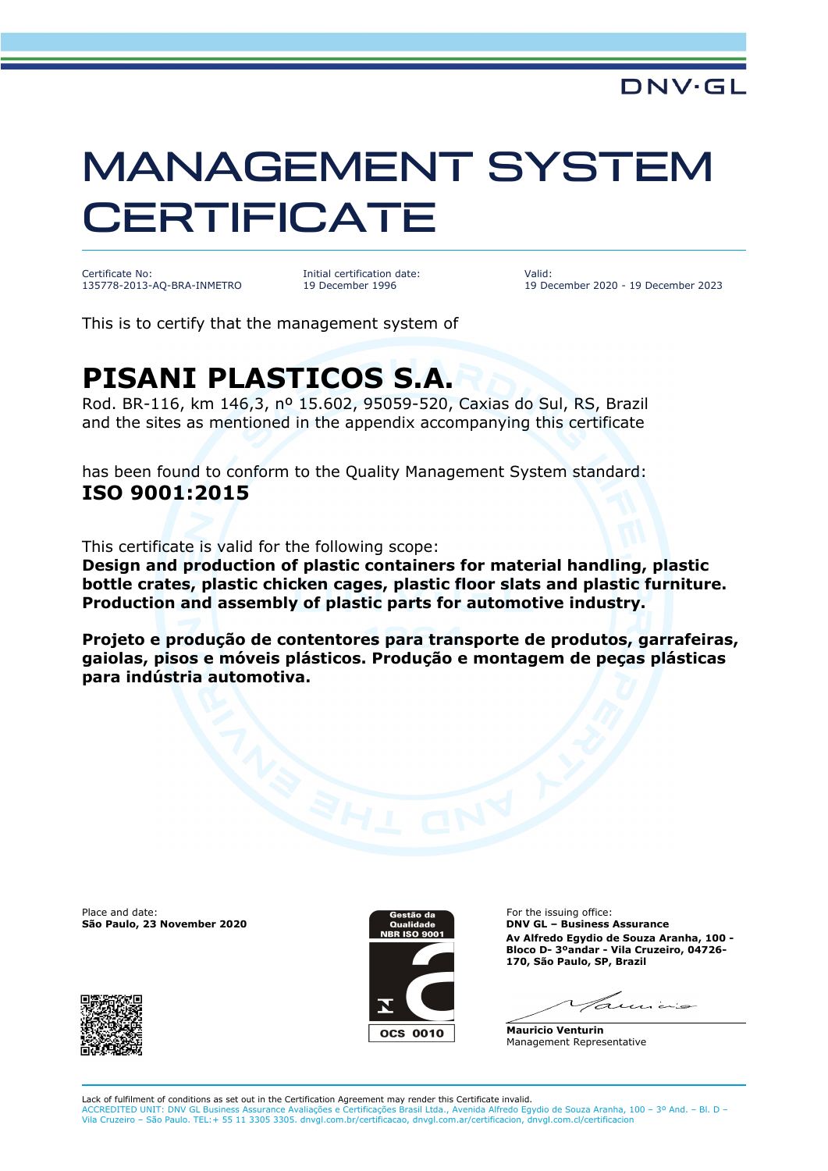## MANAGEMENT SYSTEM **CERTIFICATE**

Certificate No: 135778-2013-AQ-BRA-INMETRO Initial certification date: 19 December 1996

Valid: 19 December 2020 - 19 December 2023

This is to certify that the management system of

## **PISANI PLASTICOS S.A.**

Rod. BR-116, km 146,3, nº 15.602, 95059-520, Caxias do Sul, RS, Brazil and the sites as mentioned in the appendix accompanying this certificate

has been found to conform to the Quality Management System standard: **ISO 9001:2015**

This certificate is valid for the following scope:

**Design and production of plastic containers for material handling, plastic bottle crates, plastic chicken cages, plastic floor slats and plastic furniture. Production and assembly of plastic parts for automotive industry.**

**Projeto e produção de contentores para transporte de produtos, garrafeiras, gaiolas, pisos e móveis plásticos. Produção e montagem de peças plásticas para indústria automotiva.**

Place and date:



For the issuing office: **São Paulo, 23 November 2020 DNV GL – Business Assurance Av Alfredo Egydio de Souza Aranha, 100 - Bloco D- 3ºandar - Vila Cruzeiro, 04726- 170, São Paulo, SP, Brazil**

 $7.111 \pm 1.00$ 

**Mauricio Venturin** Management Representative

Lack of fulfilment of conditions as set out in the Certification Agreement may render this Certificate invalid. ACCREDITED UNIT: DNV GL Business Assurance Avaliações e Certificações Brasil Ltda., Avenida Alfredo Egydio de Souza Aranha, 100 – 3º And. – Bl. D – Vila Cruzeiro – São Paulo. TEL:+ 55 11 3305 3305. dnvgl.com.br/certificacao, dnvgl.com.ar/certificacion, dnvgl.com.cl/certificacion